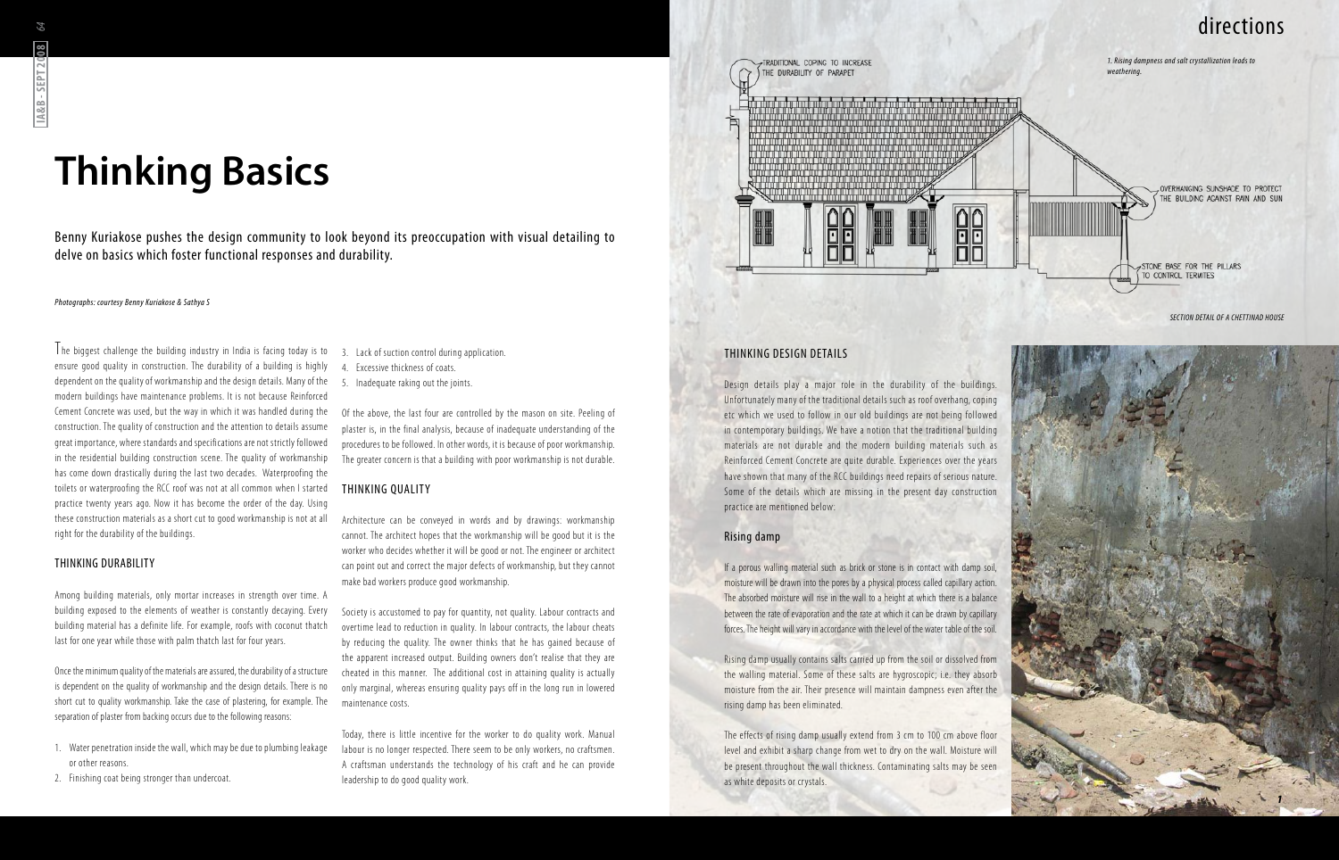Benny Kuriakose pushes the design community to look beyond its preoccupation with visual detailing to delve on basics which foster functional responses and durability.

# **Thinking Basics**

*Photographs: courtesy Benny Kuriakose & Sathya S*

The biggest challenge the building industry in India is facing today is to ensure good quality in construction. The durability of a building is highly dependent on the quality of workmanship and the design details. Many of the modern buildings have maintenance problems. It is not because Reinforced Cement Concrete was used, but the way in which it was handled during the construction. The quality of construction and the attention to details assume great importance, where standards and specifications are not strictly followed in the residential building construction scene. The quality of workmanship has come down drastically during the last two decades. Waterproofing the toilets or waterproofing the RCC roof was not at all common when I started practice twenty years ago. Now it has become the order of the day. Using these construction materials as a short cut to good workmanship is not at all right for the durability of the buildings.

### THINKING DURABILITY

Among building materials, only mortar increases in strength over time. A building exposed to the elements of weather is constantly decaying. Every building material has a definite life. For example, roofs with coconut thatch last for one year while those with palm thatch last for four years.

Once the minimum quality of the materials are assured, the durability of a structure is dependent on the quality of workmanship and the design details. There is no short cut to quality workmanship. Take the case of plastering, for example. The separation of plaster from backing occurs due to the following reasons:

- 1. Water penetration inside the wall, which may be due to plumbing leakage or other reasons.
- 2. Finishing coat being stronger than undercoat.
- 3. Lack of suction control during application.
- 4. Excessive thickness of coats.
- 5. Inadequate raking out the joints.

Of the above, the last four are controlled by the mason on site. Peeling of plaster is, in the final analysis, because of inadequate understanding of the procedures to be followed. In other words, it is because of poor workmanship. The greater concern is that a building with poor workmanship is not durable.

### Thinking Quality

Architecture can be conveyed in words and by drawings: workmanship cannot. The architect hopes that the workmanship will be good but it is the worker who decides whether it will be good or not. The engineer or architect can point out and correct the major defects of workmanship, but they cannot make bad workers produce good workmanship.

Society is accustomed to pay for quantity, not quality. Labour contracts and overtime lead to reduction in quality. In labour contracts, the labour cheats by reducing the quality. The owner thinks that he has gained because of the apparent increased output. Building owners don't realise that they are cheated in this manner. The additional cost in attaining quality is actually only marginal, whereas ensuring quality pays off in the long run in lowered maintenance costs.

Today, there is little incentive for the worker to do quality work. Manual labour is no longer respected. There seem to be only workers, no craftsmen. A craftsman understands the technology of his craft and he can provide leadership to do good quality work.

*SECTION DETAIL OF A CHETTINAD HOUSE*

### Thinking Design Details

TRADITIONAL COPING TO INCREASE

HE DURABLITY OF PARAPET

Design details play a major role in the durability of the buildings. Unfortunately many of the traditional details such as roof overhang, coping etc which we used to follow in our old buildings are not being followed in contemporary buildings. We have a notion that the traditional building materials are not durable and the modern building materials such as Reinforced Cement Concrete are quite durable. Experiences over the years have shown that many of the RCC buildings need repairs of serious nature. Some of the details which are missing in the present day construction practice are mentioned below:

### Rising damp

If a porous walling material such as brick or stone is in contact with damp soil, moisture will be drawn into the pores by a physical process called capillary action. The absorbed moisture will rise in the wall to a height at which there is a balance between the rate of evaporation and the rate at which it can be drawn by capillary forces. The height will vary in accordance with the level of the water table of the soil.

Rising damp usually contains salts carried up from the soil or dissolved from the walling material. Some of these salts are hygroscopic; i.e. they absorb moisture from the air. Their presence will maintain dampness even after the rising damp has been eliminated.

The effects of rising damp usually extend from 3 cm to 100 cm above floor level and exhibit a sharp change from wet to dry on the wall. Moisture will be present throughout the wall thickness. Contaminating salts may be seen as white deposits or crystals.



# directions